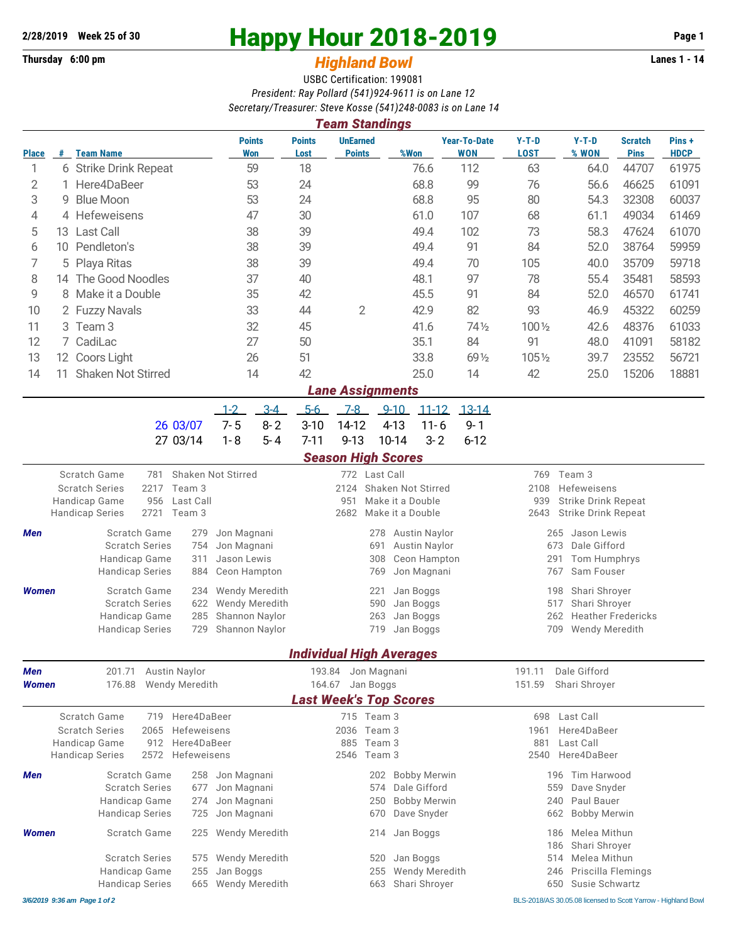## **Thursday 6:00 pm** *Highland Bowl* **Lanes 1 - 14**

## **2/28/2019 Week 25 of 30 Happy Hour 2018-2019 Page 1**

## USBC Certification: 199081 *President: Ray Pollard (541)924-9611 is on Lane 12*

|                                                  |                        |                                                                                     |                                       |                       |                                  |                       |                                                       | Secretary/Treasurer: Steve Kosse (541)248-0083 is on Lane 14<br><b>Team Standings</b> |            |                        |                          |                                                   |                                                          |                       |                               |                       |  |  |
|--------------------------------------------------|------------------------|-------------------------------------------------------------------------------------|---------------------------------------|-----------------------|----------------------------------|-----------------------|-------------------------------------------------------|---------------------------------------------------------------------------------------|------------|------------------------|--------------------------|---------------------------------------------------|----------------------------------------------------------|-----------------------|-------------------------------|-----------------------|--|--|
| <b>Place</b>                                     | #                      | <b>Team Name</b>                                                                    |                                       |                       | <b>Won</b>                       | <b>Points</b>         | <b>Points</b><br>Lost                                 | <b>UnEarned</b><br><b>Points</b>                                                      |            | %Won                   |                          | <b>Year-To-Date</b><br><b>WON</b>                 | $Y-T-D$<br><b>LOST</b>                                   | $Y-T-D$<br>% WON      | <b>Scratch</b><br><b>Pins</b> | Pins +<br><b>HDCP</b> |  |  |
| 1                                                | 6 Strike Drink Repeat  |                                                                                     |                                       |                       | 59                               | 18                    |                                                       |                                                                                       | 76.6       |                        | 112                      | 63                                                | 64.0                                                     | 44707                 | 61975                         |                       |  |  |
| 2                                                | 1 Here4DaBeer          |                                                                                     |                                       |                       | 53                               | 24                    |                                                       |                                                                                       | 68.8       |                        | 99                       | 76                                                | 56.6                                                     | 46625                 | 61091                         |                       |  |  |
| 3                                                | 9                      | <b>Blue Moon</b>                                                                    |                                       |                       |                                  | 53                    | 24                                                    |                                                                                       |            | 68.8                   |                          | 95                                                | 80                                                       | 54.3                  | 32308                         | 60037                 |  |  |
| 4                                                |                        | 4 Hefeweisens                                                                       |                                       |                       | 47                               |                       |                                                       |                                                                                       | 61.0       |                        | 107                      | 68                                                | 61.1                                                     | 49034                 | 61469                         |                       |  |  |
| 5                                                | 13                     | <b>Last Call</b>                                                                    |                                       |                       | 38                               |                       |                                                       |                                                                                       | 49.4       |                        | 102                      | 73                                                | 58.3                                                     | 47624                 | 61070                         |                       |  |  |
| 6                                                |                        | 10 Pendleton's                                                                      |                                       |                       |                                  | 38                    | 39                                                    |                                                                                       |            | 49.4                   |                          | 91                                                | 84                                                       | 52.0                  | 38764                         | 59959                 |  |  |
| 7                                                | Playa Ritas<br>5       |                                                                                     |                                       | 38                    |                                  |                       |                                                       | 49.4                                                                                  |            | 70                     | 105                      | 40.0                                              | 35709                                                    | 59718                 |                               |                       |  |  |
| 8                                                | The Good Noodles<br>14 |                                                                                     |                                       |                       |                                  | 37                    | 40                                                    |                                                                                       |            | 48.1                   |                          | 97                                                | 78                                                       | 55.4                  | 35481                         | 58593                 |  |  |
| 9                                                | 8 Make it a Double     |                                                                                     |                                       |                       |                                  | 35                    | 42                                                    |                                                                                       |            | 45.5                   |                          | 91                                                | 84                                                       | 52.0                  | 46570                         | 61741                 |  |  |
| 10                                               |                        | 2 Fuzzy Navals                                                                      |                                       |                       |                                  | 33                    |                                                       | $\mathbf{2}$<br>44                                                                    |            | 42.9                   |                          | 82                                                | 93                                                       | 46.9                  | 45322                         | 60259                 |  |  |
| 11                                               |                        | 3 Team 3                                                                            |                                       |                       | 32                               |                       |                                                       |                                                                                       | 41.6       |                        | 74 1/2                   | 100 1/2                                           | 42.6                                                     | 48376                 | 61033                         |                       |  |  |
| 12                                               |                        | 7 CadiLac                                                                           |                                       | 27                    |                                  | 50                    |                                                       |                                                                                       | 35.1       |                        | 84                       | 91                                                | 48.0                                                     | 41091                 | 58182                         |                       |  |  |
| 13                                               |                        | 12 Coors Light                                                                      |                                       | 26                    |                                  | 51                    |                                                       |                                                                                       | 33.8       |                        | 69 1/2                   | 1051/2                                            | 39.7                                                     | 23552                 | 56721                         |                       |  |  |
| 14                                               | 11.                    | <b>Shaken Not Stirred</b>                                                           |                                       |                       |                                  | 14                    |                                                       |                                                                                       |            | 25.0                   |                          | 14                                                | 42                                                       | 25.0                  | 15206                         | 18881                 |  |  |
|                                                  |                        |                                                                                     |                                       |                       |                                  |                       |                                                       | <b>Lane Assignments</b>                                                               |            |                        |                          |                                                   |                                                          |                       |                               |                       |  |  |
|                                                  |                        |                                                                                     |                                       |                       | $1 - 2$                          | $3-4$                 | $5-6$                                                 | $7-8$                                                                                 | $9 - 10$   |                        | $11 - 12$                | $13 - 14$                                         |                                                          |                       |                               |                       |  |  |
|                                                  |                        |                                                                                     |                                       | 26 03/07              | $7 - 5$                          | $8 - 2$               | $3 - 10$                                              | 14-12                                                                                 |            | $4 - 13$               | $11 - 6$                 | $9 - 1$                                           |                                                          |                       |                               |                       |  |  |
|                                                  |                        |                                                                                     |                                       | 27 03/14              | $1 - 8$                          | $5 - 4$               | $7 - 11$                                              | $9 - 13$                                                                              | 10-14      |                        | $3 - 2$                  | $6 - 12$                                          |                                                          |                       |                               |                       |  |  |
|                                                  |                        |                                                                                     |                                       |                       |                                  |                       |                                                       | <b>Season High Scores</b>                                                             |            |                        |                          |                                                   |                                                          |                       |                               |                       |  |  |
| Scratch Game<br><b>Shaken Not Stirred</b><br>781 |                        |                                                                                     |                                       |                       |                                  |                       |                                                       | 772 Last Call                                                                         |            |                        |                          | Team 3<br>769                                     |                                                          |                       |                               |                       |  |  |
|                                                  |                        | <b>Scratch Series</b><br>2217<br>Team 3<br>956<br>Last Call                         |                                       |                       |                                  |                       | 2124<br>Shaken Not Stirred<br>951<br>Make it a Double |                                                                                       |            |                        |                          | 2108<br>Hefeweisens<br>939<br>Strike Drink Repeat |                                                          |                       |                               |                       |  |  |
|                                                  |                        | Handicap Game<br>2721 Team 3<br><b>Handicap Series</b>                              |                                       |                       |                                  |                       | 2682<br>Make it a Double                              |                                                                                       |            |                        |                          | <b>Strike Drink Repeat</b><br>2643                |                                                          |                       |                               |                       |  |  |
| Men                                              |                        | <b>Scratch Game</b>                                                                 | Jon Magnani                           |                       | 278<br>Austin Naylor             |                       |                                                       |                                                                                       |            |                        | 265<br>Jason Lewis       |                                                   |                                                          |                       |                               |                       |  |  |
|                                                  |                        | 279<br><b>Scratch Series</b><br>754                                                 |                                       |                       | Jon Magnani                      |                       | 691<br>Austin Naylor                                  |                                                                                       |            |                        |                          |                                                   | Dale Gifford<br>673                                      |                       |                               |                       |  |  |
|                                                  |                        | Handicap Game<br>311                                                                |                                       |                       | Jason Lewis                      |                       | Ceon Hampton<br>308                                   |                                                                                       |            |                        |                          | 291<br>Tom Humphrys                               |                                                          |                       |                               |                       |  |  |
|                                                  |                        | <b>Handicap Series</b>                                                              | 884                                   | Ceon Hampton          |                                  |                       | Jon Magnani<br>769                                    |                                                                                       |            |                        |                          |                                                   | Sam Fouser<br>767                                        |                       |                               |                       |  |  |
| <b>Women</b>                                     |                        | Scratch Game                                                                        | 234                                   | <b>Wendy Meredith</b> |                                  |                       |                                                       | 221                                                                                   | Jan Boggs  |                        |                          |                                                   | Shari Shroyer<br>198                                     |                       |                               |                       |  |  |
|                                                  |                        | <b>Scratch Series</b><br>622                                                        |                                       |                       |                                  | <b>Wendy Meredith</b> |                                                       | 590<br>Jan Boggs                                                                      |            |                        |                          |                                                   | 517<br>Shari Shroyer<br>262<br><b>Heather Fredericks</b> |                       |                               |                       |  |  |
|                                                  |                        | Handicap Game<br>285<br>729<br><b>Handicap Series</b>                               |                                       |                       | Shannon Naylor<br>Shannon Naylor |                       |                                                       |                                                                                       | 263<br>719 | Jan Boggs<br>Jan Boggs |                          |                                                   |                                                          | 709<br>Wendy Meredith |                               |                       |  |  |
|                                                  |                        |                                                                                     |                                       |                       |                                  |                       |                                                       |                                                                                       |            |                        |                          |                                                   |                                                          |                       |                               |                       |  |  |
|                                                  |                        |                                                                                     |                                       |                       |                                  |                       |                                                       | <b>Individual High Averages</b>                                                       |            |                        |                          |                                                   |                                                          |                       |                               |                       |  |  |
| Men<br>201.71<br><b>Austin Naylor</b>            |                        |                                                                                     |                                       |                       |                                  | 193.84 Jon Magnani    |                                                       |                                                                                       |            |                        |                          | Dale Gifford<br>191.11                            |                                                          |                       |                               |                       |  |  |
| <b>Women</b>                                     |                        | 176.88<br>Wendy Meredith                                                            |                                       |                       |                                  |                       | 164.67 Jan Boggs<br><b>Last Week's Top Scores</b>     |                                                                                       |            |                        |                          | 151.59<br>Shari Shroyer                           |                                                          |                       |                               |                       |  |  |
|                                                  |                        |                                                                                     |                                       |                       |                                  |                       |                                                       |                                                                                       |            |                        |                          |                                                   |                                                          |                       |                               |                       |  |  |
| Scratch Game<br>719 Here4DaBeer                  |                        |                                                                                     |                                       |                       |                                  | 715 Team 3            |                                                       |                                                                                       |            |                        |                          | 698 Last Call<br>Here4DaBeer                      |                                                          |                       |                               |                       |  |  |
|                                                  |                        | <b>Scratch Series</b><br>Hefeweisens<br>2065<br>Here4DaBeer<br>Handicap Game<br>912 |                                       |                       |                                  |                       |                                                       | 2036 Team 3<br>885 Team 3                                                             |            |                        | 1961<br>881<br>Last Call |                                                   |                                                          |                       |                               |                       |  |  |
|                                                  |                        | <b>Handicap Series</b><br>2572 Hefeweisens                                          |                                       |                       |                                  |                       | 2546 Team 3                                           |                                                                                       |            |                        |                          |                                                   |                                                          | 2540 Here4DaBeer      |                               |                       |  |  |
| Men                                              |                        | Scratch Game<br><b>Scratch Series</b>                                               | 258 Jon Magnani<br>Jon Magnani<br>677 |                       |                                  |                       | 202                                                   | <b>Bobby Merwin</b><br>574 Dale Gifford                                               |            |                        |                          | 196 Tim Harwood<br>559 Dave Snyder                |                                                          |                       |                               |                       |  |  |

Handicap Game 274 Jon Magnani 250 Bobby Merwin 240 Paul Bauer Handicap Series 725 Jon Magnani 670 Dave Snyder 662 Bobby Merwin

Scratch Series 575 Wendy Meredith 520 Jan Boggs 514 Melea Mithun Handicap Game 255 Jan Boggs 255 Wendy Meredith 246 Priscilla Flemings Handicap Series 665 Wendy Meredith 663 Shari Shroyer 650 Susie Schwartz

*Women* Scratch Game 225 Wendy Meredith 214 Jan Boggs 186 Melea Mithun

186 Shari Shroyer